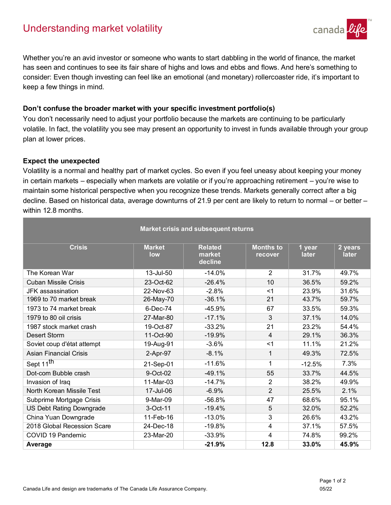

Whether you're an avid investor or someone who wants to start dabbling in the world of finance, the market has seen and continues to see its fair share of highs and lows and ebbs and flows. And here's something to consider: Even though investing can feel like an emotional (and monetary) rollercoaster ride, it's important to keep a few things in mind.

## **Don't confuse the broader market with your specific investment portfolio(s)**

You don't necessarily need to adjust your portfolio because the markets are continuing to be particularly volatile. In fact, the volatility you see may present an opportunity to invest in funds available through your group plan at lower prices.

## **Expect the unexpected**

Volatility is a normal and healthy part of market cycles. So even if you feel uneasy about keeping your money in certain markets – especially when markets are volatile or if you're approaching retirement – you're wise to maintain some historical perspective when you recognize these trends. Markets generally correct after a big decline. Based on historical data, average downturns of 21.9 per cent are likely to return to normal – or better – within 12.8 months.

| <b>Market crisis and subsequent returns</b> |                      |                                     |                             |                        |                  |
|---------------------------------------------|----------------------|-------------------------------------|-----------------------------|------------------------|------------------|
| <b>Crisis</b>                               | <b>Market</b><br>low | <b>Related</b><br>market<br>decline | <b>Months</b> to<br>recover | 1 year<br><b>later</b> | 2 years<br>later |
| The Korean War                              | 13-Jul-50            | $-14.0%$                            | $\overline{2}$              | 31.7%                  | 49.7%            |
| <b>Cuban Missile Crisis</b>                 | 23-Oct-62            | $-26.4%$                            | 10                          | 36.5%                  | 59.2%            |
| JFK assassination                           | 22-Nov-63            | $-2.8%$                             | $<$ 1                       | 23.9%                  | 31.6%            |
| 1969 to 70 market break                     | 26-May-70            | $-36.1%$                            | 21                          | 43.7%                  | 59.7%            |
| 1973 to 74 market break                     | 6-Dec-74             | $-45.9%$                            | 67                          | 33.5%                  | 59.3%            |
| 1979 to 80 oil crisis                       | 27-Mar-80            | $-17.1%$                            | 3                           | 37.1%                  | 14.0%            |
| 1987 stock market crash                     | 19-Oct-87            | $-33.2%$                            | 21                          | 23.2%                  | 54.4%            |
| <b>Desert Storm</b>                         | 11-Oct-90            | $-19.9%$                            | 4                           | 29.1%                  | 36.3%            |
| Soviet coup d'état attempt                  | 19-Aug-91            | $-3.6%$                             | $<$ 1                       | 11.1%                  | 21.2%            |
| <b>Asian Financial Crisis</b>               | 2-Apr-97             | $-8.1%$                             | 1                           | 49.3%                  | 72.5%            |
| Sept 11 <sup>th</sup>                       | 21-Sep-01            | $-11.6%$                            | 1                           | $-12.5%$               | 7.3%             |
| Dot-com Bubble crash                        | 9-Oct-02             | $-49.1%$                            | 55                          | 33.7%                  | 44.5%            |
| Invasion of Iraq                            | 11-Mar-03            | $-14.7%$                            | 2                           | 38.2%                  | 49.9%            |
| North Korean Missile Test                   | 17-Jul-06            | $-6.9%$                             | $\overline{2}$              | 25.5%                  | 2.1%             |
| Subprime Mortgage Crisis                    | 9-Mar-09             | $-56.8%$                            | 47                          | 68.6%                  | 95.1%            |
| <b>US Debt Rating Downgrade</b>             | 3-Oct-11             | $-19.4%$                            | 5                           | 32.0%                  | 52.2%            |
| China Yuan Downgrade                        | 11-Feb-16            | $-13.0%$                            | 3                           | 26.6%                  | 43.2%            |
| 2018 Global Recession Scare                 | 24-Dec-18            | $-19.8%$                            | 4                           | 37.1%                  | 57.5%            |
| COVID 19 Pandemic                           | 23-Mar-20            | $-33.9%$                            | 4                           | 74.8%                  | 99.2%            |
| Average                                     |                      | $-21.9%$                            | 12.8                        | 33.0%                  | 45.9%            |